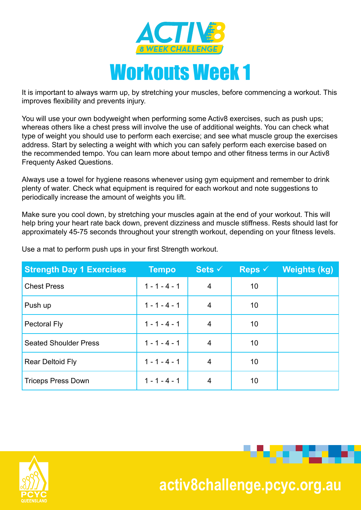

It is important to always warm up, by stretching your muscles, before commencing a workout. This improves flexibility and prevents injury.

You will use your own bodyweight when performing some Activ8 exercises, such as push ups; whereas others like a chest press will involve the use of additional weights. You can check what type of weight you should use to perform each exercise; and see what muscle group the exercises address. Start by selecting a weight with which you can safely perform each exercise based on the recommended tempo. You can learn more about tempo and other fitness terms in our Activ8 Frequenty Asked Questions.

Always use a towel for hygiene reasons whenever using gym equipment and remember to drink plenty of water. Check what equipment is required for each workout and note suggestions to periodically increase the amount of weights you lift.

Make sure you cool down, by stretching your muscles again at the end of your workout. This will help bring your heart rate back down, prevent dizziness and muscle stiffness. Rests should last for approximately 45-75 seconds throughout your strength workout, depending on your fitness levels.

| <b>Strength Day 1 Exercises</b> | <b>Tempo</b>    | Sets $\checkmark$ | Reps $\checkmark$ | Weights (kg) |
|---------------------------------|-----------------|-------------------|-------------------|--------------|
| <b>Chest Press</b>              | $1 - 1 - 4 - 1$ | 4                 | 10                |              |
| Push up                         | $1 - 1 - 4 - 1$ | 4                 | 10                |              |
| <b>Pectoral Fly</b>             | $1 - 1 - 4 - 1$ | 4                 | 10                |              |
| <b>Seated Shoulder Press</b>    | $1 - 1 - 4 - 1$ | 4                 | 10                |              |
| <b>Rear Deltoid Fly</b>         | $1 - 1 - 4 - 1$ | 4                 | 10                |              |
| <b>Triceps Press Down</b>       | $1 - 1 - 4 - 1$ | 4                 | 10                |              |

Use a mat to perform push ups in your first Strength workout.



 **activ8challenge.pcyc.org.au**

o ta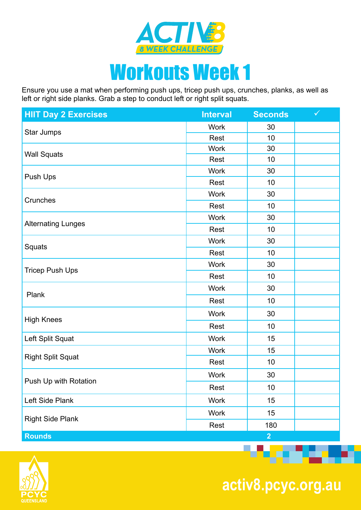

## Workouts Week 1

Ensure you use a mat when performing push ups, tricep push ups, crunches, planks, as well as left or right side planks. Grab a step to conduct left or right split squats.

| <b>HIIT Day 2 Exercises</b> | <b>Interval</b>                                                                                                                                                                                                                                                                 | <b>Seconds</b>                                                                                                                               | $\checkmark$ |
|-----------------------------|---------------------------------------------------------------------------------------------------------------------------------------------------------------------------------------------------------------------------------------------------------------------------------|----------------------------------------------------------------------------------------------------------------------------------------------|--------------|
|                             | <b>Work</b>                                                                                                                                                                                                                                                                     | 30<br>10<br>30<br>10<br>30<br>10<br>30<br>10<br>30<br>10<br>30<br>10<br>30<br>10<br>30<br>10<br>30<br>10<br>15<br>15<br>10<br>30<br>10<br>15 |              |
| Star Jumps                  | <b>Rest</b>                                                                                                                                                                                                                                                                     |                                                                                                                                              |              |
| <b>Wall Squats</b>          | <b>Work</b><br>Rest<br><b>Work</b><br>Rest<br><b>Work</b><br>Rest<br><b>Work</b><br>Rest<br><b>Work</b><br>Rest<br><b>Work</b><br>Rest<br><b>Work</b><br>Rest<br><b>Work</b><br>Rest<br><b>Work</b><br><b>Work</b><br>Rest<br><b>Work</b><br>Rest<br><b>Work</b><br><b>Work</b> |                                                                                                                                              |              |
|                             |                                                                                                                                                                                                                                                                                 | 15<br>180<br>$\overline{2}$                                                                                                                  |              |
| Push Ups                    |                                                                                                                                                                                                                                                                                 |                                                                                                                                              |              |
|                             |                                                                                                                                                                                                                                                                                 |                                                                                                                                              |              |
| Crunches                    |                                                                                                                                                                                                                                                                                 |                                                                                                                                              |              |
|                             |                                                                                                                                                                                                                                                                                 |                                                                                                                                              |              |
|                             | Rest                                                                                                                                                                                                                                                                            |                                                                                                                                              |              |
| <b>Alternating Lunges</b>   |                                                                                                                                                                                                                                                                                 |                                                                                                                                              |              |
|                             |                                                                                                                                                                                                                                                                                 |                                                                                                                                              |              |
| Squats                      |                                                                                                                                                                                                                                                                                 |                                                                                                                                              |              |
| <b>Tricep Push Ups</b>      |                                                                                                                                                                                                                                                                                 |                                                                                                                                              |              |
|                             |                                                                                                                                                                                                                                                                                 |                                                                                                                                              |              |
| Plank                       |                                                                                                                                                                                                                                                                                 |                                                                                                                                              |              |
|                             |                                                                                                                                                                                                                                                                                 |                                                                                                                                              |              |
| <b>High Knees</b>           |                                                                                                                                                                                                                                                                                 |                                                                                                                                              |              |
|                             |                                                                                                                                                                                                                                                                                 |                                                                                                                                              |              |
| Left Split Squat            |                                                                                                                                                                                                                                                                                 |                                                                                                                                              |              |
|                             |                                                                                                                                                                                                                                                                                 |                                                                                                                                              |              |
| <b>Right Split Squat</b>    |                                                                                                                                                                                                                                                                                 |                                                                                                                                              |              |
|                             |                                                                                                                                                                                                                                                                                 |                                                                                                                                              |              |
| Push Up with Rotation       |                                                                                                                                                                                                                                                                                 |                                                                                                                                              |              |
| Left Side Plank             |                                                                                                                                                                                                                                                                                 |                                                                                                                                              |              |
| <b>Right Side Plank</b>     |                                                                                                                                                                                                                                                                                 |                                                                                                                                              |              |
|                             |                                                                                                                                                                                                                                                                                 |                                                                                                                                              |              |
| <b>Rounds</b>               |                                                                                                                                                                                                                                                                                 |                                                                                                                                              |              |



 **activ8.pcyc.org.au**

*<u>Property Line</u>*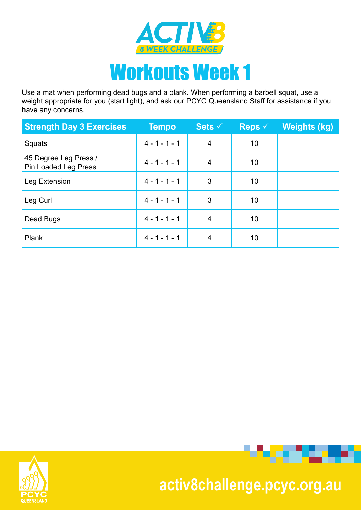

Use a mat when performing dead bugs and a plank. When performing a barbell squat, use a weight appropriate for you (start light), and ask our PCYC Queensland Staff for assistance if you have any concerns.

| <b>Strength Day 3 Exercises</b>               | <b>Tempo</b>    | Sets $\checkmark$ | Reps $\checkmark$ | <b>Weights (kg)</b> |
|-----------------------------------------------|-----------------|-------------------|-------------------|---------------------|
| Squats                                        | $4 - 1 - 1 - 1$ | $\overline{4}$    | 10                |                     |
| 45 Degree Leg Press /<br>Pin Loaded Leg Press | $4 - 1 - 1 - 1$ | 4                 | 10                |                     |
| Leg Extension                                 | $4 - 1 - 1 - 1$ | 3                 | 10                |                     |
| Leg Curl                                      | $4 - 1 - 1 - 1$ | 3                 | 10                |                     |
| Dead Bugs                                     | $4 - 1 - 1 - 1$ | $\overline{4}$    | 10                |                     |
| Plank                                         | $4 - 1 - 1 - 1$ | 4                 | 10                |                     |



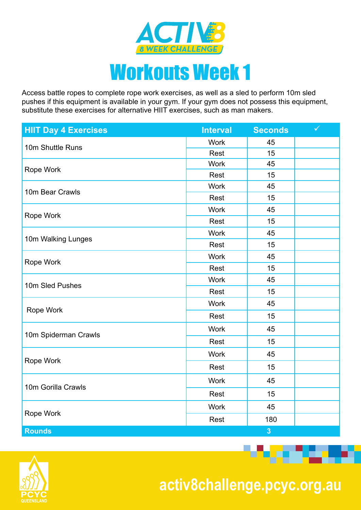

Access battle ropes to complete rope work exercises, as well as a sled to perform 10m sled pushes if this equipment is available in your gym. If your gym does not possess this equipment, substitute these exercises for alternative HIIT exercises, such as man makers.

| <b>HIIT Day 4 Exercises</b>                                                                                             | <b>Interval</b>                                                                                                                             | <b>Seconds</b>                                                                                                                                                                                                   | $\checkmark$ |
|-------------------------------------------------------------------------------------------------------------------------|---------------------------------------------------------------------------------------------------------------------------------------------|------------------------------------------------------------------------------------------------------------------------------------------------------------------------------------------------------------------|--------------|
| 10m Shuttle Runs<br>Rope Work                                                                                           | <b>Work</b>                                                                                                                                 | 45                                                                                                                                                                                                               |              |
|                                                                                                                         | Rest                                                                                                                                        | 15<br>45<br>Rest<br>15<br>45<br>15<br>Rest<br>45<br>15<br>Rest<br>45<br>15<br>Rest<br>45<br>15<br>Rest<br>45<br>Rest<br>15<br>45<br>Rest<br>15<br>45<br>Rest<br>15<br>45<br>Rest<br>15<br>45<br>15<br>Rest<br>45 |              |
|                                                                                                                         | <b>Work</b>                                                                                                                                 |                                                                                                                                                                                                                  |              |
|                                                                                                                         |                                                                                                                                             | 180<br>$\overline{\mathbf{3}}$                                                                                                                                                                                   |              |
|                                                                                                                         | <b>Work</b>                                                                                                                                 |                                                                                                                                                                                                                  |              |
|                                                                                                                         | <b>Work</b><br><b>Work</b><br><b>Work</b><br><b>Work</b><br><b>Work</b><br><b>Work</b><br><b>Work</b><br><b>Work</b><br><b>Work</b><br>Rest |                                                                                                                                                                                                                  |              |
|                                                                                                                         |                                                                                                                                             |                                                                                                                                                                                                                  |              |
|                                                                                                                         |                                                                                                                                             |                                                                                                                                                                                                                  |              |
| 10m Bear Crawls<br>Rope Work<br>10m Walking Lunges<br>Rope Work<br>10m Sled Pushes<br>Rope Work<br>10m Spiderman Crawls |                                                                                                                                             |                                                                                                                                                                                                                  |              |
|                                                                                                                         |                                                                                                                                             |                                                                                                                                                                                                                  |              |
|                                                                                                                         |                                                                                                                                             |                                                                                                                                                                                                                  |              |
|                                                                                                                         |                                                                                                                                             |                                                                                                                                                                                                                  |              |
|                                                                                                                         |                                                                                                                                             |                                                                                                                                                                                                                  |              |
|                                                                                                                         |                                                                                                                                             |                                                                                                                                                                                                                  |              |
|                                                                                                                         |                                                                                                                                             |                                                                                                                                                                                                                  |              |
|                                                                                                                         |                                                                                                                                             |                                                                                                                                                                                                                  |              |
|                                                                                                                         |                                                                                                                                             |                                                                                                                                                                                                                  |              |
|                                                                                                                         |                                                                                                                                             |                                                                                                                                                                                                                  |              |
|                                                                                                                         |                                                                                                                                             |                                                                                                                                                                                                                  |              |
| Rope Work                                                                                                               |                                                                                                                                             |                                                                                                                                                                                                                  |              |
|                                                                                                                         |                                                                                                                                             |                                                                                                                                                                                                                  |              |
| 10m Gorilla Crawls                                                                                                      |                                                                                                                                             |                                                                                                                                                                                                                  |              |
|                                                                                                                         |                                                                                                                                             |                                                                                                                                                                                                                  |              |
| Rope Work                                                                                                               |                                                                                                                                             |                                                                                                                                                                                                                  |              |
| <b>Rounds</b>                                                                                                           |                                                                                                                                             |                                                                                                                                                                                                                  |              |



 **activ8challenge.pcyc.org.au**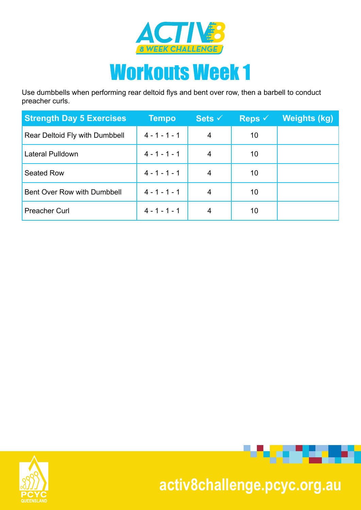

Use dumbbells when performing rear deltoid flys and bent over row, then a barbell to conduct preacher curls.

| <b>Strength Day 5 Exercises</b> | <b>Tempo</b>    | Sets $\checkmark$ | Reps $\checkmark$ | Weights (kg) |
|---------------------------------|-----------------|-------------------|-------------------|--------------|
| Rear Deltoid Fly with Dumbbell  | $4 - 1 - 1 - 1$ | 4                 | 10                |              |
| Lateral Pulldown                | $4 - 1 - 1 - 1$ | 4                 | 10                |              |
| <b>Seated Row</b>               | $4 - 1 - 1 - 1$ | 4                 | 10                |              |
| Bent Over Row with Dumbbell     | $4 - 1 - 1 - 1$ | 4                 | 10                |              |
| <b>Preacher Curl</b>            | $4 - 1 - 1 - 1$ |                   | 10                |              |





## **activ8challenge.pcyc.org.au**